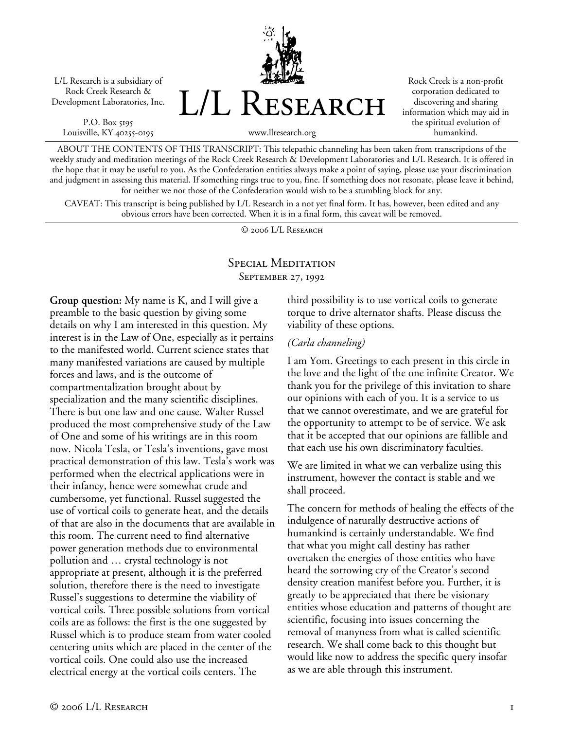L/L Research is a subsidiary of Rock Creek Research & Development Laboratories, Inc.

P.O. Box 5195 Louisville, KY 40255-0195



Rock Creek is a non-profit corporation dedicated to discovering and sharing information which may aid in the spiritual evolution of humankind.

www.llresearch.org

ABOUT THE CONTENTS OF THIS TRANSCRIPT: This telepathic channeling has been taken from transcriptions of the weekly study and meditation meetings of the Rock Creek Research & Development Laboratories and L/L Research. It is offered in the hope that it may be useful to you. As the Confederation entities always make a point of saying, please use your discrimination and judgment in assessing this material. If something rings true to you, fine. If something does not resonate, please leave it behind, for neither we nor those of the Confederation would wish to be a stumbling block for any.

CAVEAT: This transcript is being published by L/L Research in a not yet final form. It has, however, been edited and any obvious errors have been corrected. When it is in a final form, this caveat will be removed.

© 2006 L/L Research

## Special Meditation September 27, 1992

**Group question:** My name is K, and I will give a preamble to the basic question by giving some details on why I am interested in this question. My interest is in the Law of One, especially as it pertains to the manifested world. Current science states that many manifested variations are caused by multiple forces and laws, and is the outcome of compartmentalization brought about by specialization and the many scientific disciplines. There is but one law and one cause. Walter Russel produced the most comprehensive study of the Law of One and some of his writings are in this room now. Nicola Tesla, or Tesla's inventions, gave most practical demonstration of this law. Tesla's work was performed when the electrical applications were in their infancy, hence were somewhat crude and cumbersome, yet functional. Russel suggested the use of vortical coils to generate heat, and the details of that are also in the documents that are available in this room. The current need to find alternative power generation methods due to environmental pollution and … crystal technology is not appropriate at present, although it is the preferred solution, therefore there is the need to investigate Russel's suggestions to determine the viability of vortical coils. Three possible solutions from vortical coils are as follows: the first is the one suggested by Russel which is to produce steam from water cooled centering units which are placed in the center of the vortical coils. One could also use the increased electrical energy at the vortical coils centers. The

third possibility is to use vortical coils to generate torque to drive alternator shafts. Please discuss the viability of these options.

## *(Carla channeling)*

I am Yom. Greetings to each present in this circle in the love and the light of the one infinite Creator. We thank you for the privilege of this invitation to share our opinions with each of you. It is a service to us that we cannot overestimate, and we are grateful for the opportunity to attempt to be of service. We ask that it be accepted that our opinions are fallible and that each use his own discriminatory faculties.

We are limited in what we can verbalize using this instrument, however the contact is stable and we shall proceed.

The concern for methods of healing the effects of the indulgence of naturally destructive actions of humankind is certainly understandable. We find that what you might call destiny has rather overtaken the energies of those entities who have heard the sorrowing cry of the Creator's second density creation manifest before you. Further, it is greatly to be appreciated that there be visionary entities whose education and patterns of thought are scientific, focusing into issues concerning the removal of manyness from what is called scientific research. We shall come back to this thought but would like now to address the specific query insofar as we are able through this instrument.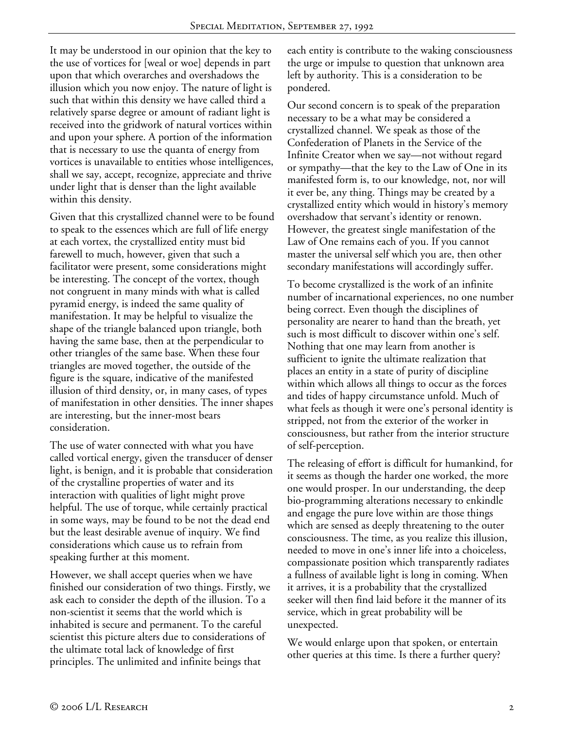It may be understood in our opinion that the key to the use of vortices for [weal or woe] depends in part upon that which overarches and overshadows the illusion which you now enjoy. The nature of light is such that within this density we have called third a relatively sparse degree or amount of radiant light is received into the gridwork of natural vortices within and upon your sphere. A portion of the information that is necessary to use the quanta of energy from vortices is unavailable to entities whose intelligences, shall we say, accept, recognize, appreciate and thrive under light that is denser than the light available within this density.

Given that this crystallized channel were to be found to speak to the essences which are full of life energy at each vortex, the crystallized entity must bid farewell to much, however, given that such a facilitator were present, some considerations might be interesting. The concept of the vortex, though not congruent in many minds with what is called pyramid energy, is indeed the same quality of manifestation. It may be helpful to visualize the shape of the triangle balanced upon triangle, both having the same base, then at the perpendicular to other triangles of the same base. When these four triangles are moved together, the outside of the figure is the square, indicative of the manifested illusion of third density, or, in many cases, of types of manifestation in other densities. The inner shapes are interesting, but the inner-most bears consideration.

The use of water connected with what you have called vortical energy, given the transducer of denser light, is benign, and it is probable that consideration of the crystalline properties of water and its interaction with qualities of light might prove helpful. The use of torque, while certainly practical in some ways, may be found to be not the dead end but the least desirable avenue of inquiry. We find considerations which cause us to refrain from speaking further at this moment.

However, we shall accept queries when we have finished our consideration of two things. Firstly, we ask each to consider the depth of the illusion. To a non-scientist it seems that the world which is inhabited is secure and permanent. To the careful scientist this picture alters due to considerations of the ultimate total lack of knowledge of first principles. The unlimited and infinite beings that

each entity is contribute to the waking consciousness the urge or impulse to question that unknown area left by authority. This is a consideration to be pondered.

Our second concern is to speak of the preparation necessary to be a what may be considered a crystallized channel. We speak as those of the Confederation of Planets in the Service of the Infinite Creator when we say—not without regard or sympathy—that the key to the Law of One in its manifested form is, to our knowledge, not, nor will it ever be, any thing. Things may be created by a crystallized entity which would in history's memory overshadow that servant's identity or renown. However, the greatest single manifestation of the Law of One remains each of you. If you cannot master the universal self which you are, then other secondary manifestations will accordingly suffer.

To become crystallized is the work of an infinite number of incarnational experiences, no one number being correct. Even though the disciplines of personality are nearer to hand than the breath, yet such is most difficult to discover within one's self. Nothing that one may learn from another is sufficient to ignite the ultimate realization that places an entity in a state of purity of discipline within which allows all things to occur as the forces and tides of happy circumstance unfold. Much of what feels as though it were one's personal identity is stripped, not from the exterior of the worker in consciousness, but rather from the interior structure of self-perception.

The releasing of effort is difficult for humankind, for it seems as though the harder one worked, the more one would prosper. In our understanding, the deep bio-programming alterations necessary to enkindle and engage the pure love within are those things which are sensed as deeply threatening to the outer consciousness. The time, as you realize this illusion, needed to move in one's inner life into a choiceless, compassionate position which transparently radiates a fullness of available light is long in coming. When it arrives, it is a probability that the crystallized seeker will then find laid before it the manner of its service, which in great probability will be unexpected.

We would enlarge upon that spoken, or entertain other queries at this time. Is there a further query?